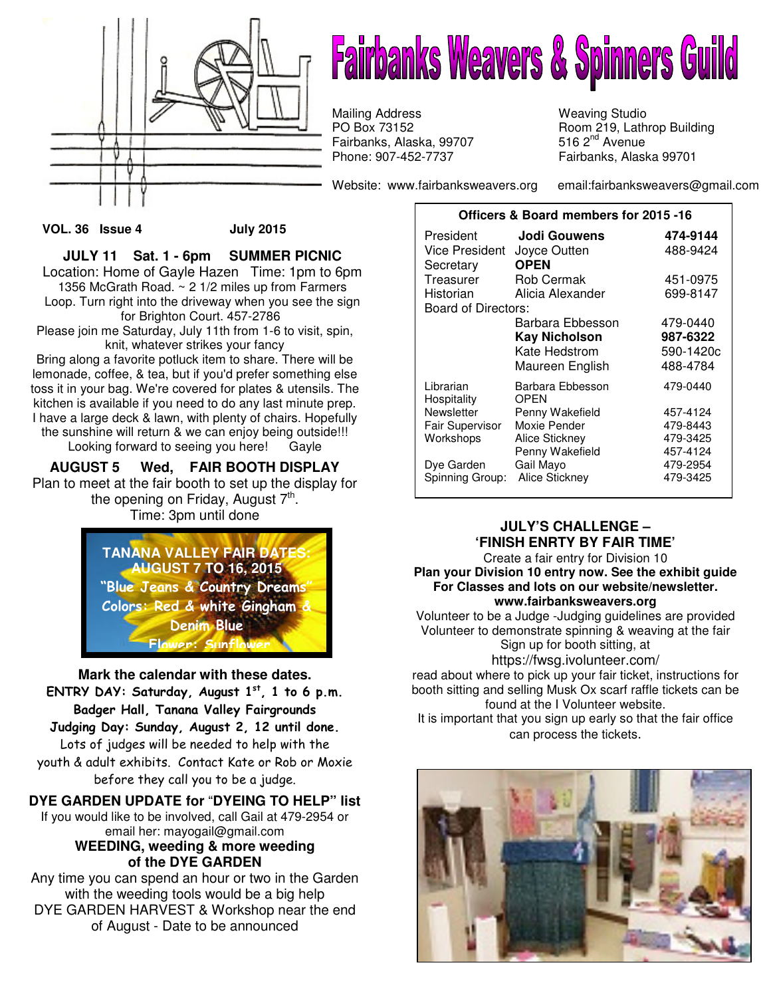

# **Fairbanks Weavers & Spinners Guild**

Mailing Address Weaving Studio<br>
PO Box 73152 Moom 219, Lath Fairbanks, Alaska, 99707 Phone: 907-452-7737 Fairbanks, Alaska 99701

Website: www.fairbanksweavers.org email:fairbanksweavers@gmail.com

Room 219, Lathrop Building<br>516 2<sup>nd</sup> Avenue

#### **VOL. 36 Issue 4 July 2015**

**JULY 11 Sat. 1 - 6pm SUMMER PICNIC**  Location: Home of Gayle Hazen Time: 1pm to 6pm 1356 McGrath Road. ~ 2 1/2 miles up from Farmers Loop. Turn right into the driveway when you see the sign for Brighton Court. 457-2786 Please join me Saturday, July 11th from 1-6 to visit, spin, knit, whatever strikes your fancy

Bring along a favorite potluck item to share. There will be lemonade, coffee, & tea, but if you'd prefer something else toss it in your bag. We're covered for plates & utensils. The kitchen is available if you need to do any last minute prep. I have a large deck & lawn, with plenty of chairs. Hopefully the sunshine will return & we can enjoy being outside!!! Looking forward to seeing you here! Gayle

## **AUGUST 5 Wed, FAIR BOOTH DISPLAY**

Plan to meet at the fair booth to set up the display for the opening on Friday, August 7<sup>th</sup>. Time: 3pm until done



**Mark the calendar with these dates.**  ENTRY DAY: Saturday, August  $1<sup>st</sup>$ , 1 to 6 p.m. Badger Hall, Tanana Valley Fairgrounds Judging Day: Sunday, August 2, 12 until done. Lots of judges will be needed to help with the youth & adult exhibits. Contact Kate or Rob or Moxie before they call you to be a judge.

# **DYE GARDEN UPDATE for** "**DYEING TO HELP" list**

If you would like to be involved, call Gail at 479-2954 or email her: mayogail@gmail.com **WEEDING, weeding & more weeding** 

**of the DYE GARDEN** 

Any time you can spend an hour or two in the Garden with the weeding tools would be a big help DYE GARDEN HARVEST & Workshop near the end of August - Date to be announced

| Officers & Board members for 2015 -16 |                                 |           |  |
|---------------------------------------|---------------------------------|-----------|--|
| President                             | Jodi Gouwens                    | 474-9144  |  |
| Vice President                        | Joyce Outten                    | 488-9424  |  |
| Secretary                             | <b>OPEN</b>                     |           |  |
| Treasurer                             | Rob Cermak                      | 451-0975  |  |
| Historian                             | Alicia Alexander                | 699-8147  |  |
| Board of Directors:                   |                                 |           |  |
|                                       | Barbara Ebbesson                | 479-0440  |  |
|                                       | <b>Kay Nicholson</b>            | 987-6322  |  |
|                                       | Kate Hedstrom                   | 590-1420c |  |
|                                       | Maureen English                 | 488-4784  |  |
| Librarian<br>Hospitality              | Barbara Ebbesson<br><b>OPEN</b> | 479-0440  |  |
| Newsletter                            | Penny Wakefield                 | 457-4124  |  |
| Fair Supervisor                       | Moxie Pender                    | 479-8443  |  |
| Workshops                             | Alice Stickney                  | 479-3425  |  |
|                                       | Penny Wakefield                 | 457-4124  |  |
| Dye Garden                            | Gail Mayo                       | 479-2954  |  |
| Spinning Group:                       | Alice Stickney                  | 479-3425  |  |

## **JULY'S CHALLENGE – 'FINISH ENRTY BY FAIR TIME'**

Create a fair entry for Division 10 **Plan your Division 10 entry now. See the exhibit guide For Classes and lots on our website/newsletter. www.fairbanksweavers.org**

Volunteer to be a Judge -Judging guidelines are provided Volunteer to demonstrate spinning & weaving at the fair Sign up for booth sitting, at https://fwsg.ivolunteer.com/

read about where to pick up your fair ticket, instructions for booth sitting and selling Musk Ox scarf raffle tickets can be found at the I Volunteer website. It is important that you sign up early so that the fair office can process the tickets.

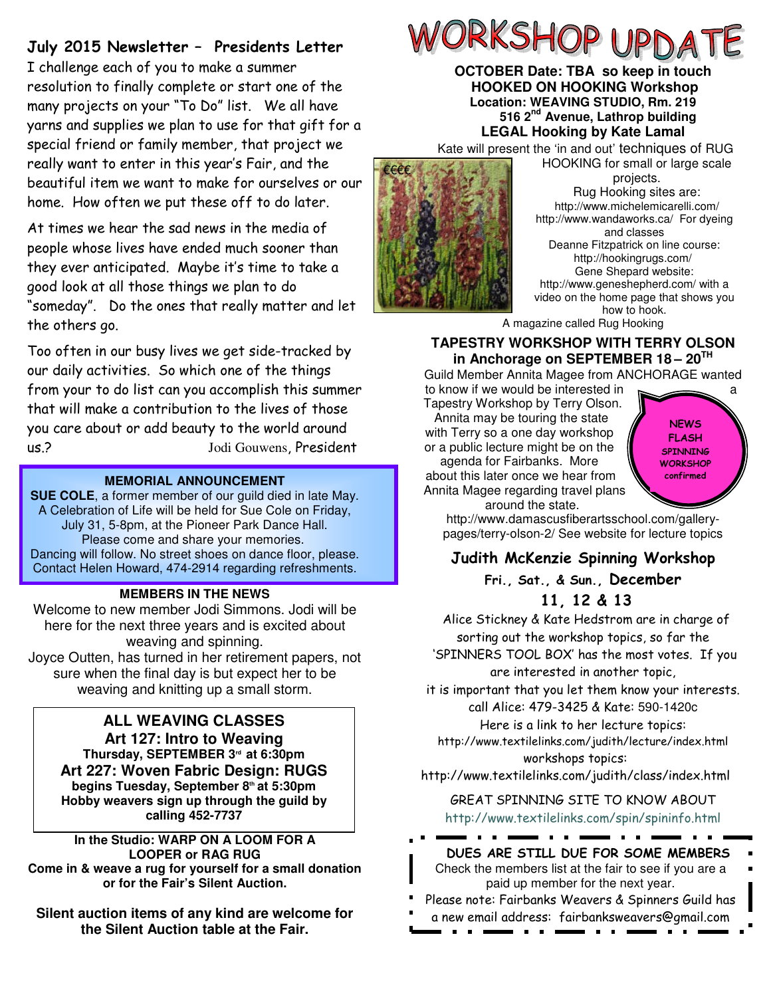## July 2015 Newsletter – Presidents Letter

I challenge each of you to make a summer resolution to finally complete or start one of the many projects on your "To Do" list. We all have yarns and supplies we plan to use for that gift for a special friend or family member, that project we really want to enter in this year's Fair, and the beautiful item we want to make for ourselves or our home. How often we put these off to do later.

At times we hear the sad news in the media of people whose lives have ended much sooner than they ever anticipated. Maybe it's time to take a good look at all those things we plan to do "someday". Do the ones that really matter and let the others go.

Too often in our busy lives we get side-tracked by our daily activities. So which one of the things from your to do list can you accomplish this summer that will make a contribution to the lives of those you care about or add beauty to the world around us.? Jodi Gouwens, President

### **MEMORIAL ANNOUNCEMENT**

**SUE COLE**, a former member of our guild died in late May. A Celebration of Life will be held for Sue Cole on Friday, July 31, 5-8pm, at the Pioneer Park Dance Hall. Please come and share your memories. Dancing will follow. No street shoes on dance floor, please. Contact Helen Howard, 474-2914 regarding refreshments.

### **MEMBERS IN THE NEWS**

Welcome to new member Jodi Simmons. Jodi will be here for the next three years and is excited about weaving and spinning. Joyce Outten, has turned in her retirement papers, not

sure when the final day is but expect her to be weaving and knitting up a small storm.

## **ALL WEAVING CLASSES**

**Art 127: Intro to Weaving Thursday, SEPTEMBER 3rd at 6:30pm Art 227: Woven Fabric Design: RUGS begins Tuesday, September 8th at 5:30pm Hobby weavers sign up through the guild by calling 452-7737** 

**In the Studio: WARP ON A LOOM FOR A LOOPER or RAG RUG Come in & weave a rug for yourself for a small donation or for the Fair's Silent Auction.** 

**Silent auction items of any kind are welcome for the Silent Auction table at the Fair.** 



### **OCTOBER Date: TBA so keep in touch HOOKED ON HOOKING Workshop Location: WEAVING STUDIO, Rm. 219 516 2nd Avenue, Lathrop building LEGAL Hooking by Kate Lamal**

Kate will present the 'in and out' techniques of RUG HOOKING for small or large scale



projects. Rug Hooking sites are: http://www.michelemicarelli.com/ http://www.wandaworks.ca/ For dyeing and classes Deanne Fitzpatrick on line course: http://hookingrugs.com/ Gene Shepard website: http://www.geneshepherd.com/ with a video on the home page that shows you how to hook.

A magazine called Rug Hooking

## **TAPESTRY WORKSHOP WITH TERRY OLSON in Anchorage on SEPTEMBER 18 – 20TH**

Guild Member Annita Magee from ANCHORAGE wanted to know if we would be interested in

Tapestry Workshop by Terry Olson. Annita may be touring the state with Terry so a one day workshop or a public lecture might be on the agenda for Fairbanks. More about this later once we hear from Annita Magee regarding travel plans



around the state. http://www.damascusfiberartsschool.com/gallerypages/terry-olson-2/ See website for lecture topics

## Judith McKenzie Spinning Workshop Fri., Sat., & Sun., December 11, 12 & 13

Alice Stickney & Kate Hedstrom are in charge of sorting out the workshop topics, so far the 'SPINNERS TOOL BOX' has the most votes. If you are interested in another topic,

it is important that you let them know your interests. call Alice: 479-3425 & Kate: 590-1420c Here is a link to her lecture topics:

http://www.textilelinks.com/judith/lecture/index.html workshops topics:

http://www.textilelinks.com/judith/class/index.html

GREAT SPINNING SITE TO KNOW ABOUT http://www.textilelinks.com/spin/spininfo.html

. . . . .

# DUES ARE STILL DUE FOR SOME MEMBERS

- - - -

Check the members list at the fair to see if you are a paid up member for the next year.

Please note: Fairbanks Weavers & Spinners Guild has

a new email address: fairbanksweavers@gmail.com